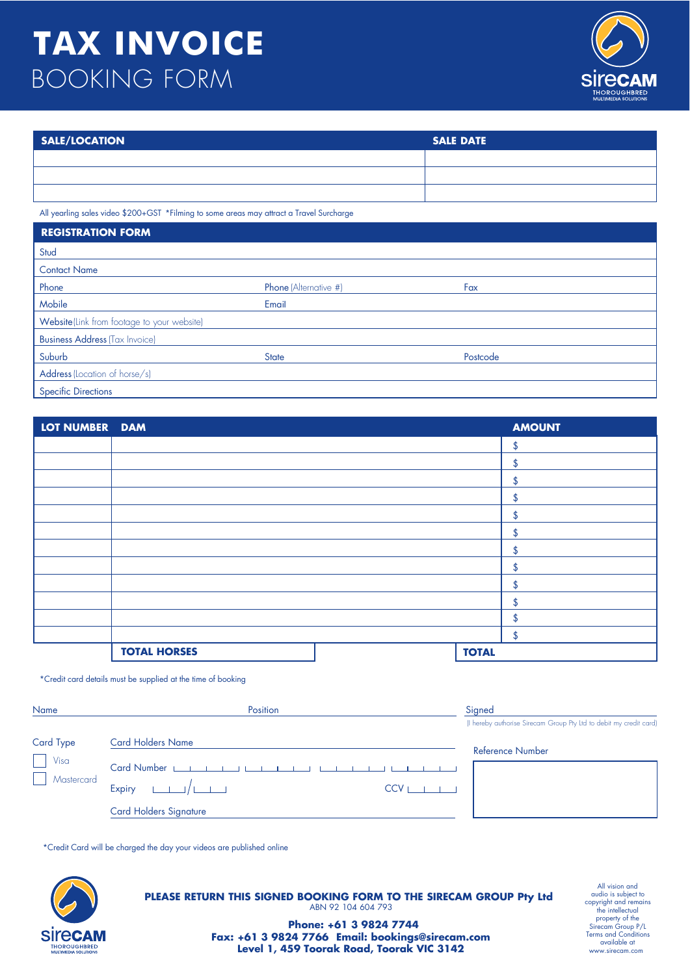## BOOKING FORM **TAX INVOICE**



## **SALE/LOCATION SALE DATE**

All yearling sales video \$200+GST \*Filming to some areas may attract a Travel Surcharge

| <b>REGISTRATION FORM</b>                    |                              |          |  |  |
|---------------------------------------------|------------------------------|----------|--|--|
| Stud                                        |                              |          |  |  |
| <b>Contact Name</b>                         |                              |          |  |  |
| Phone                                       | <b>Phone</b> (Alternative #) | Fax      |  |  |
| Mobile                                      | Email                        |          |  |  |
| Website (Link from footage to your website) |                              |          |  |  |
| <b>Business Address (Tax Invoice)</b>       |                              |          |  |  |
| Suburb                                      | <b>State</b>                 | Postcode |  |  |
| Address (Location of horse/s)               |                              |          |  |  |
| <b>Specific Directions</b>                  |                              |          |  |  |

| LOT NUMBER DAM |                     |              | <b>AMOUNT</b> |
|----------------|---------------------|--------------|---------------|
|                |                     |              | £.            |
|                |                     |              |               |
|                |                     |              |               |
|                |                     |              |               |
|                |                     |              |               |
|                |                     |              |               |
|                |                     |              |               |
|                |                     |              |               |
|                |                     |              |               |
|                |                     |              |               |
|                |                     |              |               |
|                |                     |              |               |
|                | <b>TOTAL HORSES</b> | <b>TOTAL</b> |               |

\*Credit card details must be supplied at the time of booking

| Name                                                         | Position                      |  | Signed                                                             |  |
|--------------------------------------------------------------|-------------------------------|--|--------------------------------------------------------------------|--|
|                                                              |                               |  | (I hereby authorise Sirecam Group Pty Ltd to debit my credit card) |  |
| <b>Card Type</b><br>$\boxed{\phantom{1}}$ Visa<br>Mastercard | <b>Card Holders Name</b>      |  | <b>Reference Number</b>                                            |  |
|                                                              | Card Number $\Box$ $\Box$     |  |                                                                    |  |
|                                                              | CCV<br><b>Expiry</b>          |  |                                                                    |  |
|                                                              | <b>Card Holders Signature</b> |  |                                                                    |  |

\*Credit Card will be charged the day your videos are published online



**PLEASE RETURN THIS SIGNED BOOKING FORM TO THE SIRECAM GROUP Pty Ltd** ABN 92 104 604 793

> **Phone: +61 3 9824 7744 Fax: +61 3 9824 7766 Email: bookings@sirecam.com Level 1, 459 Toorak Road, Toorak VIC 3142**

All vision and audio is subject to copyright and remains the intellectual property of the Sirecam Group P/L Terms and Conditions available at www.sirecam.com